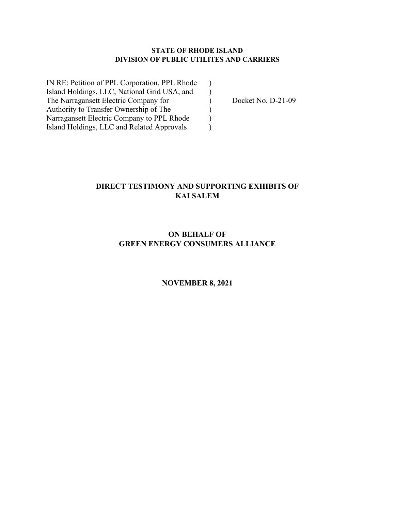### **STATE OF RHODE ISLAND DIVISION OF PUBLIC UTILITES AND CARRIERS**

IN RE: Petition of PPL Corporation, PPL Rhode ) Island Holdings, LLC, National Grid USA, and ) The Narragansett Electric Company for  $Docket No. D-21-09$ Authority to Transfer Ownership of The  $($ Narragansett Electric Company to PPL Rhode  $\qquad$ ) Island Holdings, LLC and Related Approvals )

### **DIRECT TESTIMONY AND SUPPORTING EXHIBITS OF KAI SALEM**

### **ON BEHALF OF GREEN ENERGY CONSUMERS ALLIANCE**

#### **NOVEMBER 8, 2021**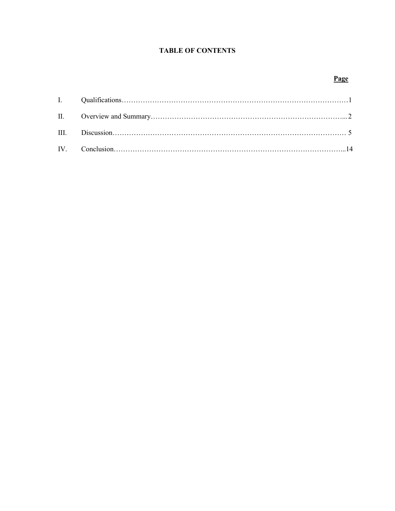### **TABLE OF CONTENTS**

### **Page**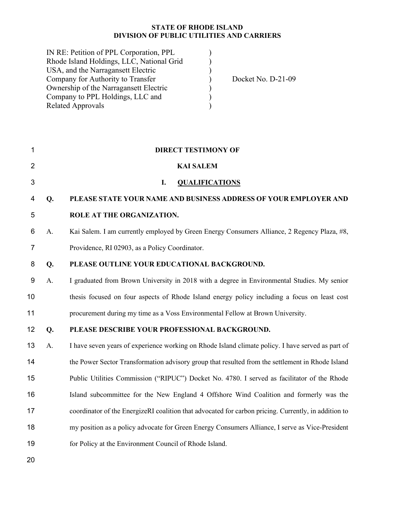### **STATE OF RHODE ISLAND DIVISION OF PUBLIC UTILITIES AND CARRIERS**

| IN RE: Petition of PPL Corporation, PPL   |                    |
|-------------------------------------------|--------------------|
| Rhode Island Holdings, LLC, National Grid |                    |
| USA, and the Narragansett Electric        |                    |
| Company for Authority to Transfer         | Docket No. D-21-09 |
| Ownership of the Narragansett Electric    |                    |
| Company to PPL Holdings, LLC and          |                    |
| <b>Related Approvals</b>                  |                    |

| 1              |    | <b>DIRECT TESTIMONY OF</b>                                                                           |
|----------------|----|------------------------------------------------------------------------------------------------------|
| $\overline{2}$ |    | <b>KAI SALEM</b>                                                                                     |
| 3              |    | I.<br><b>QUALIFICATIONS</b>                                                                          |
| 4              | Q. | PLEASE STATE YOUR NAME AND BUSINESS ADDRESS OF YOUR EMPLOYER AND                                     |
| 5              |    | ROLE AT THE ORGANIZATION.                                                                            |
| 6              | A. | Kai Salem. I am currently employed by Green Energy Consumers Alliance, 2 Regency Plaza, #8,          |
| 7              |    | Providence, RI 02903, as a Policy Coordinator.                                                       |
| 8              | Q. | PLEASE OUTLINE YOUR EDUCATIONAL BACKGROUND.                                                          |
| 9              | A. | I graduated from Brown University in 2018 with a degree in Environmental Studies. My senior          |
| 10             |    | thesis focused on four aspects of Rhode Island energy policy including a focus on least cost         |
| 11             |    | procurement during my time as a Voss Environmental Fellow at Brown University.                       |
| 12             | Q. | PLEASE DESCRIBE YOUR PROFESSIONAL BACKGROUND.                                                        |
| 13             | A. | I have seven years of experience working on Rhode Island climate policy. I have served as part of    |
| 14             |    | the Power Sector Transformation advisory group that resulted from the settlement in Rhode Island     |
| 15             |    | Public Utilities Commission ("RIPUC") Docket No. 4780. I served as facilitator of the Rhode          |
| 16             |    | Island subcommittee for the New England 4 Offshore Wind Coalition and formerly was the               |
| 17             |    | coordinator of the EnergizeRI coalition that advocated for carbon pricing. Currently, in addition to |
| 18             |    | my position as a policy advocate for Green Energy Consumers Alliance, I serve as Vice-President      |
| 19             |    | for Policy at the Environment Council of Rhode Island.                                               |
|                |    |                                                                                                      |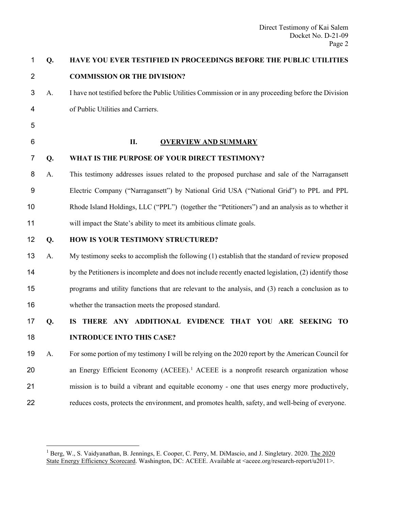| 1              | Q. | HAVE YOU EVER TESTIFIED IN PROCEEDINGS BEFORE THE PUBLIC UTILITIES                                     |
|----------------|----|--------------------------------------------------------------------------------------------------------|
| $\overline{2}$ |    | <b>COMMISSION OR THE DIVISION?</b>                                                                     |
| 3              | A. | I have not testified before the Public Utilities Commission or in any proceeding before the Division   |
| 4              |    | of Public Utilities and Carriers.                                                                      |
| 5              |    |                                                                                                        |
| 6              |    | II.<br><b>OVERVIEW AND SUMMARY</b>                                                                     |
| 7              | Q. | WHAT IS THE PURPOSE OF YOUR DIRECT TESTIMONY?                                                          |
| 8              | А. | This testimony addresses issues related to the proposed purchase and sale of the Narragansett          |
| 9              |    | Electric Company ("Narragansett") by National Grid USA ("National Grid") to PPL and PPL                |
| 10             |    | Rhode Island Holdings, LLC ("PPL") (together the "Petitioners") and an analysis as to whether it       |
| 11             |    | will impact the State's ability to meet its ambitious climate goals.                                   |
| 12             | Q. | HOW IS YOUR TESTIMONY STRUCTURED?                                                                      |
| 13             | A. | My testimony seeks to accomplish the following (1) establish that the standard of review proposed      |
| 14             |    | by the Petitioners is incomplete and does not include recently enacted legislation, (2) identify those |
| 15             |    | programs and utility functions that are relevant to the analysis, and (3) reach a conclusion as to     |
| 16             |    | whether the transaction meets the proposed standard.                                                   |
| 17             | Q. | THERE ANY ADDITIONAL EVIDENCE THAT YOU ARE SEEKING TO<br><b>IS</b>                                     |
| 18             |    | <b>INTRODUCE INTO THIS CASE?</b>                                                                       |
| 19             | A. | For some portion of my testimony I will be relying on the 2020 report by the American Council for      |
| 20             |    | an Energy Efficient Economy (ACEEE). <sup>1</sup> ACEEE is a nonprofit research organization whose     |
| 21             |    | mission is to build a vibrant and equitable economy - one that uses energy more productively,          |
| 22             |    | reduces costs, protects the environment, and promotes health, safety, and well-being of everyone.      |

<span id="page-3-0"></span><sup>&</sup>lt;sup>1</sup> Berg, W., S. Vaidyanathan, B. Jennings, E. Cooper, C. Perry, M. DiMascio, and J. Singletary. 2020. The 2020 State Energy Efficiency Scorecard. Washington, DC: ACEEE. Available at <aceee.org/research-report/u2011>.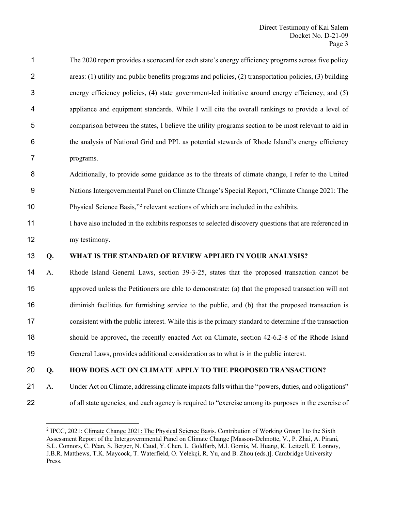| 1              |    | The 2020 report provides a scorecard for each state's energy efficiency programs across five policy           |
|----------------|----|---------------------------------------------------------------------------------------------------------------|
| $\overline{2}$ |    | areas: $(1)$ utility and public benefits programs and policies, $(2)$ transportation policies, $(3)$ building |
| 3              |    | energy efficiency policies, (4) state government-led initiative around energy efficiency, and (5)             |
| 4              |    | appliance and equipment standards. While I will cite the overall rankings to provide a level of               |
| 5              |    | comparison between the states, I believe the utility programs section to be most relevant to aid in           |
| 6              |    | the analysis of National Grid and PPL as potential stewards of Rhode Island's energy efficiency               |
| 7              |    | programs.                                                                                                     |
| 8              |    | Additionally, to provide some guidance as to the threats of climate change, I refer to the United             |
| 9              |    | Nations Intergovernmental Panel on Climate Change's Special Report, "Climate Change 2021: The                 |
| 10             |    | Physical Science Basis," <sup>2</sup> relevant sections of which are included in the exhibits.                |
| 11             |    | I have also included in the exhibits responses to selected discovery questions that are referenced in         |
| 12             |    | my testimony.                                                                                                 |
| 13             | Q. | WHAT IS THE STANDARD OF REVIEW APPLIED IN YOUR ANALYSIS?                                                      |
| 14             | A. | Rhode Island General Laws, section 39-3-25, states that the proposed transaction cannot be                    |
| 15             |    | approved unless the Petitioners are able to demonstrate: (a) that the proposed transaction will not           |
| 16             |    | diminish facilities for furnishing service to the public, and (b) that the proposed transaction is            |
| 17             |    | consistent with the public interest. While this is the primary standard to determine if the transaction       |
| 18             |    | should be approved, the recently enacted Act on Climate, section 42-6.2-8 of the Rhode Island                 |
| 19             |    | General Laws, provides additional consideration as to what is in the public interest.                         |
| 20             | Q. | HOW DOES ACT ON CLIMATE APPLY TO THE PROPOSED TRANSACTION?                                                    |
| 21             | A. | Under Act on Climate, addressing climate impacts falls within the "powers, duties, and obligations"           |

<span id="page-4-0"></span>of all state agencies, and each agency is required to "exercise among its purposes in the exercise of

<sup>&</sup>lt;sup>2</sup> IPCC, 2021: Climate Change 2021: The Physical Science Basis. Contribution of Working Group I to the Sixth Assessment Report of the Intergovernmental Panel on Climate Change [Masson-Delmotte, V., P. Zhai, A. Pirani, S.L. Connors, C. Péan, S. Berger, N. Caud, Y. Chen, L. Goldfarb, M.I. Gomis, M. Huang, K. Leitzell, E. Lonnoy, J.B.R. Matthews, T.K. Maycock, T. Waterfield, O. Yelekçi, R. Yu, and B. Zhou (eds.)]. Cambridge University Press.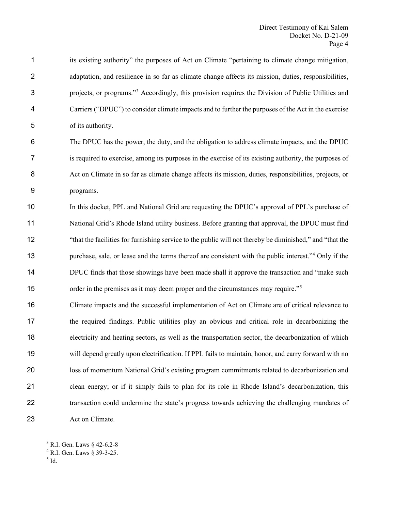its existing authority" the purposes of Act on Climate "pertaining to climate change mitigation, adaptation, and resilience in so far as climate change affects its mission, duties, responsibilities, projects, or programs." [3](#page-5-0) Accordingly, this provision requires the Division of Public Utilities and Carriers ("DPUC") to consider climate impacts and to further the purposes of the Act in the exercise of its authority.

 The DPUC has the power, the duty, and the obligation to address climate impacts, and the DPUC is required to exercise, among its purposes in the exercise of its existing authority, the purposes of Act on Climate in so far as climate change affects its mission, duties, responsibilities, projects, or programs.

 In this docket, PPL and National Grid are requesting the DPUC's approval of PPL's purchase of National Grid's Rhode Island utility business. Before granting that approval, the DPUC must find "that the facilities for furnishing service to the public will not thereby be diminished," and "that the 13 purchase, sale, or lease and the terms thereof are consistent with the public interest."<sup>[4](#page-5-1)</sup> Only if the DPUC finds that those showings have been made shall it approve the transaction and "make such order in the premises as it may deem proper and the circumstances may require."<sup>[5](#page-5-2)</sup>

 Climate impacts and the successful implementation of Act on Climate are of critical relevance to the required findings. Public utilities play an obvious and critical role in decarbonizing the electricity and heating sectors, as well as the transportation sector, the decarbonization of which will depend greatly upon electrification. If PPL fails to maintain, honor, and carry forward with no loss of momentum National Grid's existing program commitments related to decarbonization and clean energy; or if it simply fails to plan for its role in Rhode Island's decarbonization, this transaction could undermine the state's progress towards achieving the challenging mandates of 23 Act on Climate.

<span id="page-5-0"></span>R.I. Gen. Laws § 42-6.2-8

<span id="page-5-1"></span>R.I. Gen. Laws § 39-3-25.

<span id="page-5-2"></span> $<sup>5</sup>$  Id.</sup>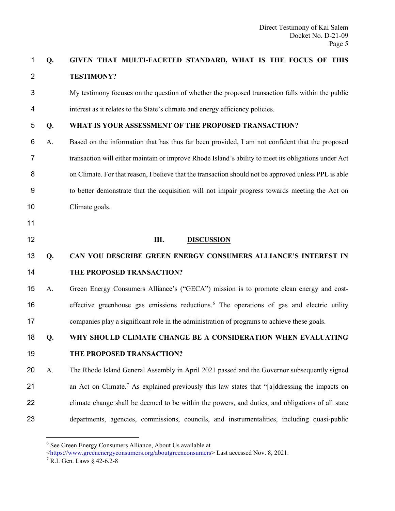### **Q. GIVEN THAT MULTI-FACETED STANDARD, WHAT IS THE FOCUS OF THIS TESTIMONY?**

 My testimony focuses on the question of whether the proposed transaction falls within the public interest as it relates to the State's climate and energy efficiency policies.

### **Q. WHAT IS YOUR ASSESSMENT OF THE PROPOSED TRANSACTION?**

- A. Based on the information that has thus far been provided, I am not confident that the proposed transaction will either maintain or improve Rhode Island's ability to meet its obligations under Act on Climate. For that reason, I believe that the transaction should not be approved unless PPL is able to better demonstrate that the acquisition will not impair progress towards meeting the Act on Climate goals.
- 

#### **III. DISCUSSION**

### **Q. CAN YOU DESCRIBE GREEN ENERGY CONSUMERS ALLIANCE'S INTEREST IN THE PROPOSED TRANSACTION?**

 A. Green Energy Consumers Alliance's ("GECA") mission is to promote clean energy and cost-[6](#page-6-0) effective greenhouse gas emissions reductions.<sup>6</sup> The operations of gas and electric utility companies play a significant role in the administration of programs to achieve these goals.

#### **Q. WHY SHOULD CLIMATE CHANGE BE A CONSIDERATION WHEN EVALUATING**

### **THE PROPOSED TRANSACTION?**

 A. The Rhode Island General Assembly in April 2021 passed and the Governor subsequently signed 21 an Act on Climate.<sup>[7](#page-6-1)</sup> As explained previously this law states that "[a]ddressing the impacts on climate change shall be deemed to be within the powers, and duties, and obligations of all state departments, agencies, commissions, councils, and instrumentalities, including quasi-public

<span id="page-6-0"></span>See Green Energy Consumers Alliance, About Us available at

[<sup>&</sup>lt;https://www.greenenergyconsumers.org/aboutgreenconsumers>](https://www.greenenergyconsumers.org/aboutgreenconsumers) Last accessed Nov. 8, 2021.

<span id="page-6-1"></span>R.I. Gen. Laws § 42-6.2-8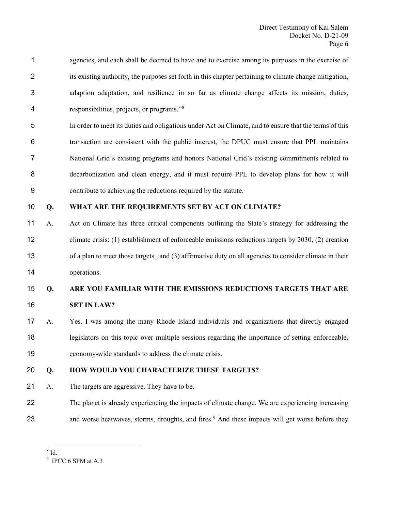- agencies, and each shall be deemed to have and to exercise among its purposes in the exercise of its existing authority, the purposes set forth in this chapter pertaining to climate change mitigation, adaption adaptation, and resilience in so far as climate change affects its mission, duties, responsibilities, projects, or programs."[8](#page-7-0)
- In order to meet its duties and obligations under Act on Climate, and to ensure that the terms of this transaction are consistent with the public interest, the DPUC must ensure that PPL maintains National Grid's existing programs and honors National Grid's existing commitments related to decarbonization and clean energy, and it must require PPL to develop plans for how it will contribute to achieving the reductions required by the statute.

### **Q. WHAT ARE THE REQUIREMENTS SET BY ACT ON CLIMATE?**

 A. Act on Climate has three critical components outlining the State's strategy for addressing the climate crisis: (1) establishment of enforceable emissions reductions targets by 2030, (2) creation of a plan to meet those targets , and (3) affirmative duty on all agencies to consider climate in their operations.

# **Q. ARE YOU FAMILIAR WITH THE EMISSIONS REDUCTIONS TARGETS THAT ARE**

- **SET IN LAW?**
- A. Yes. I was among the many Rhode Island individuals and organizations that directly engaged legislators on this topic over multiple sessions regarding the importance of setting enforceable, economy-wide standards to address the climate crisis.

### **Q. HOW WOULD YOU CHARACTERIZE THESE TARGETS?**

- A. The targets are aggressive. They have to be.
- The planet is already experiencing the impacts of climate change. We are experiencing increasing 23 and worse heatwaves, storms, droughts, and fires.<sup>[9](#page-7-1)</sup> And these impacts will get worse before they

<span id="page-7-0"></span>Id.

<span id="page-7-1"></span>IPCC 6 SPM at A.3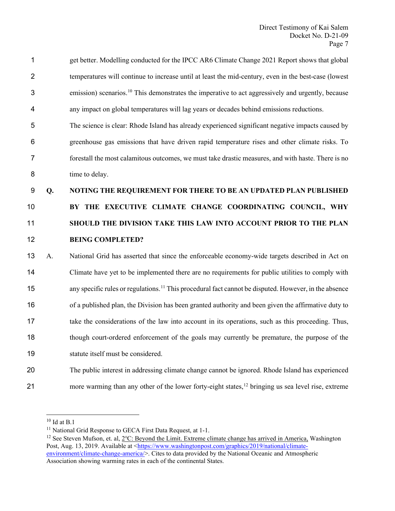get better. Modelling conducted for the IPCC AR6 Climate Change 2021 Report shows that global temperatures will continue to increase until at least the mid-century, even in the best-case (lowest 3 emission) scenarios.<sup>[10](#page-8-0)</sup> This demonstrates the imperative to act aggressively and urgently, because any impact on global temperatures will lag years or decades behind emissions reductions. The science is clear: Rhode Island has already experienced significant negative impacts caused by greenhouse gas emissions that have driven rapid temperature rises and other climate risks. To forestall the most calamitous outcomes, we must take drastic measures, and with haste. There is no time to delay.

### **Q. NOTING THE REQUIREMENT FOR THERE TO BE AN UPDATED PLAN PUBLISHED**

# **BY THE EXECUTIVE CLIMATE CHANGE COORDINATING COUNCIL, WHY SHOULD THE DIVISION TAKE THIS LAW INTO ACCOUNT PRIOR TO THE PLAN BEING COMPLETED?**

 A. National Grid has asserted that since the enforceable economy-wide targets described in Act on Climate have yet to be implemented there are no requirements for public utilities to comply with 15 any specific rules or regulations.<sup>[11](#page-8-1)</sup> This procedural fact cannot be disputed. However, in the absence of a published plan, the Division has been granted authority and been given the affirmative duty to take the considerations of the law into account in its operations, such as this proceeding. Thus, though court-ordered enforcement of the goals may currently be premature, the purpose of the statute itself must be considered.

# The public interest in addressing climate change cannot be ignored. Rhode Island has experienced 21 more warming than any other of the lower forty-eight states, bringing us sea level rise, extreme

<span id="page-8-0"></span>Id at B.1

<sup>&</sup>lt;sup>11</sup> National Grid Response to GECA First Data Request, at 1-1.

<span id="page-8-2"></span><span id="page-8-1"></span> See Steven Mufson, et. al, 2℃: Beyond the Limit. Extreme climate change has arrived in America, Washington Post, Aug. 13, 2019. Available at [<https://www.washingtonpost.com/graphics/2019/national/climate](https://www.washingtonpost.com/graphics/2019/national/climate-environment/climate-change-america/)[environment/climate-change-america/>](https://www.washingtonpost.com/graphics/2019/national/climate-environment/climate-change-america/). Cites to data provided by the National Oceanic and Atmospheric Association showing warming rates in each of the continental States.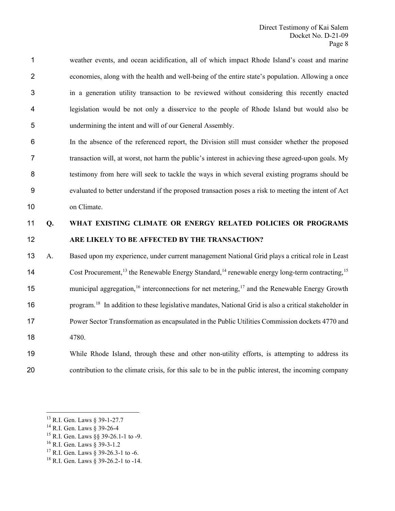weather events, and ocean acidification, all of which impact Rhode Island's coast and marine economies, along with the health and well-being of the entire state's population. Allowing a once in a generation utility transaction to be reviewed without considering this recently enacted legislation would be not only a disservice to the people of Rhode Island but would also be undermining the intent and will of our General Assembly.

 In the absence of the referenced report, the Division still must consider whether the proposed transaction will, at worst, not harm the public's interest in achieving these agreed-upon goals. My testimony from here will seek to tackle the ways in which several existing programs should be evaluated to better understand if the proposed transaction poses a risk to meeting the intent of Act on Climate.

### **Q. WHAT EXISTING CLIMATE OR ENERGY RELATED POLICIES OR PROGRAMS ARE LIKELY TO BE AFFECTED BY THE TRANSACTION?**

 A. Based upon my experience, under current management National Grid plays a critical role in Least 14 Cost Procurement,<sup>[13](#page-9-0)</sup> the Renewable Energy Standard,<sup>[14](#page-9-1)</sup> renewable energy long-term contracting,<sup>[15](#page-9-2)</sup> 15 municipal aggregation,<sup>[16](#page-9-3)</sup> interconnections for net metering,<sup>[17](#page-9-4)</sup> and the Renewable Energy Growth program.[18](#page-9-5) In addition to these legislative mandates, National Grid is also a critical stakeholder in Power Sector Transformation as encapsulated in the Public Utilities Commission dockets 4770 and 4780.

## While Rhode Island, through these and other non-utility efforts, is attempting to address its contribution to the climate crisis, for this sale to be in the public interest, the incoming company

- <span id="page-9-1"></span><sup>14</sup> R.I. Gen. Laws § 39-26-4
- <span id="page-9-2"></span>R.I. Gen. Laws §§ 39-26.1-1 to -9.
- <span id="page-9-3"></span>R.I. Gen. Laws § 39-3-1.2
- <span id="page-9-4"></span><sup>17</sup> R.I. Gen. Laws § 39-26.3-1 to -6.

<span id="page-9-0"></span>R.I. Gen. Laws § 39-1-27.7

<span id="page-9-5"></span><sup>&</sup>lt;sup>18</sup> R.I. Gen. Laws § 39-26.2-1 to -14.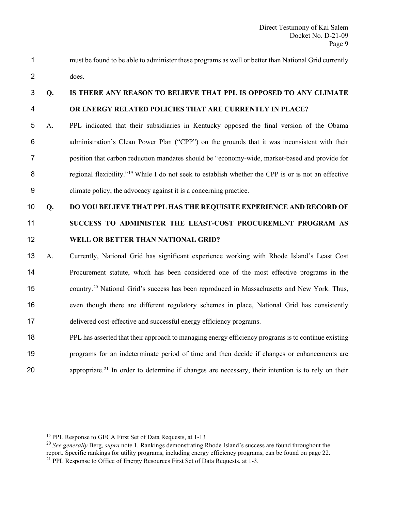must be found to be able to administer these programs as well or better than National Grid currently does.

### **Q. IS THERE ANY REASON TO BELIEVE THAT PPL IS OPPOSED TO ANY CLIMATE OR ENERGY RELATED POLICIES THAT ARE CURRENTLY IN PLACE?**

 A. PPL indicated that their subsidiaries in Kentucky opposed the final version of the Obama administration's Clean Power Plan ("CPP") on the grounds that it was inconsistent with their position that carbon reduction mandates should be "economy-wide, market-based and provide for [19](#page-10-0) 19 19 19 Tegional flexibility."<sup>19</sup> While I do not seek to establish whether the CPP is or is not an effective climate policy, the advocacy against it is a concerning practice.

# **Q. DO YOU BELIEVE THAT PPL HAS THE REQUISITE EXPERIENCE AND RECORD OF SUCCESS TO ADMINISTER THE LEAST-COST PROCUREMENT PROGRAM AS WELL OR BETTER THAN NATIONAL GRID?**

- A. Currently, National Grid has significant experience working with Rhode Island's Least Cost Procurement statute, which has been considered one of the most effective programs in the [20](#page-10-1) country.<sup>20</sup> National Grid's success has been reproduced in Massachusetts and New York. Thus, even though there are different regulatory schemes in place, National Grid has consistently delivered cost-effective and successful energy efficiency programs.
- PPL has asserted that their approach to managing energy efficiency programs is to continue existing programs for an indeterminate period of time and then decide if changes or enhancements are 20 appropriate.<sup>[21](#page-10-2)</sup> In order to determine if changes are necessary, their intention is to rely on their

PPL Response to GECA First Set of Data Requests, at 1-13

<span id="page-10-2"></span><span id="page-10-1"></span><span id="page-10-0"></span> *See generally* Berg, *supra* note 1. Rankings demonstrating Rhode Island's success are found throughout the report. Specific rankings for utility programs, including energy efficiency programs, can be found on page 22. <sup>21</sup> PPL Response to Office of Energy Resources First Set of Data Requests, at 1-3.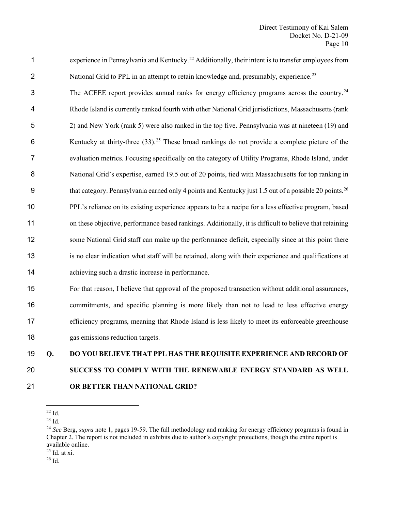| 1              | experience in Pennsylvania and Kentucky. <sup>22</sup> Additionally, their intent is to transfer employees from   |
|----------------|-------------------------------------------------------------------------------------------------------------------|
| $\overline{2}$ | National Grid to PPL in an attempt to retain knowledge and, presumably, experience. <sup>23</sup>                 |
| 3              | The ACEEE report provides annual ranks for energy efficiency programs across the country. <sup>24</sup>           |
| 4              | Rhode Island is currently ranked fourth with other National Grid jurisdictions, Massachusetts (rank               |
| 5              | 2) and New York (rank 5) were also ranked in the top five. Pennsylvania was at nineteen (19) and                  |
| 6              | Kentucky at thirty-three $(33)$ . <sup>25</sup> These broad rankings do not provide a complete picture of the     |
| $\overline{7}$ | evaluation metrics. Focusing specifically on the category of Utility Programs, Rhode Island, under                |
| 8              | National Grid's expertise, earned 19.5 out of 20 points, tied with Massachusetts for top ranking in               |
| 9              | that category. Pennsylvania earned only 4 points and Kentucky just 1.5 out of a possible 20 points. <sup>26</sup> |
| 10             | PPL's reliance on its existing experience appears to be a recipe for a less effective program, based              |
| 11             | on these objective, performance based rankings. Additionally, it is difficult to believe that retaining           |
| 12             | some National Grid staff can make up the performance deficit, especially since at this point there                |
| 13             | is no clear indication what staff will be retained, along with their experience and qualifications at             |
| 14             | achieving such a drastic increase in performance.                                                                 |
| 15             | For that reason, I believe that approval of the proposed transaction without additional assurances,               |

 commitments, and specific planning is more likely than not to lead to less effective energy efficiency programs, meaning that Rhode Island is less likely to meet its enforceable greenhouse gas emissions reduction targets.

# **Q. DO YOU BELIEVE THAT PPL HAS THE REQUISITE EXPERIENCE AND RECORD OF SUCCESS TO COMPLY WITH THE RENEWABLE ENERGY STANDARD AS WELL OR BETTER THAN NATIONAL GRID?**

<span id="page-11-1"></span><span id="page-11-0"></span>

Id.

Id.

<span id="page-11-2"></span> *See* Berg, *supra* note 1, pages 19-59. The full methodology and ranking for energy efficiency programs is found in Chapter 2. The report is not included in exhibits due to author's copyright protections, though the entire report is available online.

<span id="page-11-4"></span><span id="page-11-3"></span>Id. at xi.

Id.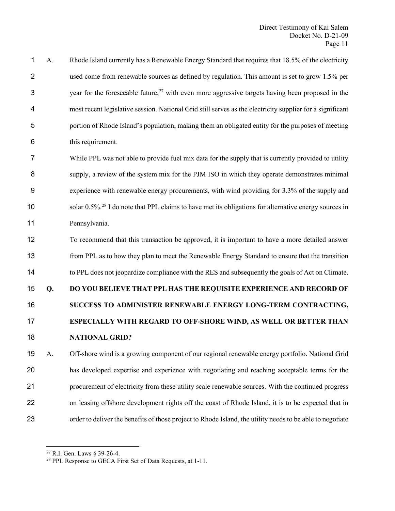A. Rhode Island currently has a Renewable Energy Standard that requires that 18.5% of the electricity used come from renewable sources as defined by regulation. This amount is set to grow 1.5% per 3 3 3 [27](#page-12-0) 27 with even more aggressive targets having been proposed in the most recent legislative session. National Grid still serves as the electricity supplier for a significant portion of Rhode Island's population, making them an obligated entity for the purposes of meeting this requirement.

 While PPL was not able to provide fuel mix data for the supply that is currently provided to utility supply, a review of the system mix for the PJM ISO in which they operate demonstrates minimal experience with renewable energy procurements, with wind providing for 3.3% of the supply and solar  $0.5\%$ <sup>[28](#page-12-1)</sup> I do note that PPL claims to have met its obligations for alternative energy sources in Pennsylvania.

 To recommend that this transaction be approved, it is important to have a more detailed answer from PPL as to how they plan to meet the Renewable Energy Standard to ensure that the transition to PPL does not jeopardize compliance with the RES and subsequently the goals of Act on Climate.

# **Q. DO YOU BELIEVE THAT PPL HAS THE REQUISITE EXPERIENCE AND RECORD OF SUCCESS TO ADMINISTER RENEWABLE ENERGY LONG-TERM CONTRACTING, ESPECIALLY WITH REGARD TO OFF-SHORE WIND, AS WELL OR BETTER THAN**

### **NATIONAL GRID?**

 A. Off-shore wind is a growing component of our regional renewable energy portfolio. National Grid has developed expertise and experience with negotiating and reaching acceptable terms for the procurement of electricity from these utility scale renewable sources. With the continued progress on leasing offshore development rights off the coast of Rhode Island, it is to be expected that in order to deliver the benefits of those project to Rhode Island, the utility needs to be able to negotiate

<span id="page-12-0"></span>R.I. Gen. Laws § 39-26-4.

<span id="page-12-1"></span>PPL Response to GECA First Set of Data Requests, at 1-11.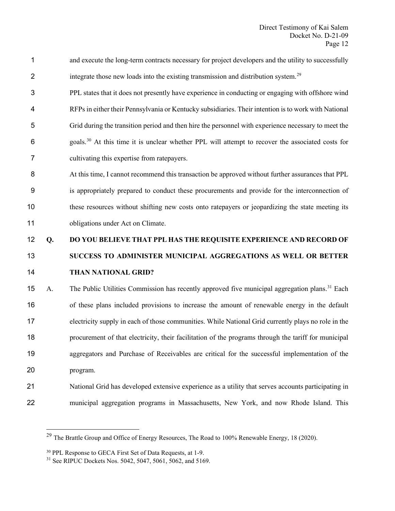- and execute the long-term contracts necessary for project developers and the utility to successfully 2 integrate those new loads into the existing transmission and distribution system.<sup>[29](#page-13-0)</sup>
- PPL states that it does not presently have experience in conducting or engaging with offshore wind RFPs in either their Pennsylvania or Kentucky subsidiaries. Their intention is to work with National Grid during the transition period and then hire the personnel with experience necessary to meet the  $6 \text{ goals}$ <sup>[30](#page-13-1)</sup> At this time it is unclear whether PPL will attempt to recover the associated costs for cultivating this expertise from ratepayers.
- At this time, I cannot recommend this transaction be approved without further assurances that PPL is appropriately prepared to conduct these procurements and provide for the interconnection of these resources without shifting new costs onto ratepayers or jeopardizing the state meeting its 11 obligations under Act on Climate.
- **Q. DO YOU BELIEVE THAT PPL HAS THE REQUISITE EXPERIENCE AND RECORD OF SUCCESS TO ADMINISTER MUNICIPAL AGGREGATIONS AS WELL OR BETTER THAN NATIONAL GRID?**

15 A. The Public Utilities Commission has recently approved five municipal aggregation plans.<sup>[31](#page-13-2)</sup> Each of these plans included provisions to increase the amount of renewable energy in the default electricity supply in each of those communities. While National Grid currently plays no role in the procurement of that electricity, their facilitation of the programs through the tariff for municipal aggregators and Purchase of Receivables are critical for the successful implementation of the program.

- National Grid has developed extensive experience as a utility that serves accounts participating in
- <span id="page-13-0"></span>municipal aggregation programs in Massachusetts, New York, and now Rhode Island. This

<sup>&</sup>lt;sup>29</sup> The Brattle Group and Office of Energy Resources, The Road to 100% Renewable Energy, 18 (2020).

<span id="page-13-1"></span>PPL Response to GECA First Set of Data Requests, at 1-9.

<span id="page-13-2"></span>See RIPUC Dockets Nos. 5042, 5047, 5061, 5062, and 5169.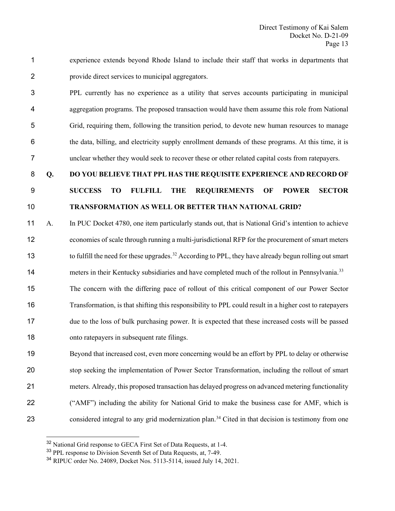experience extends beyond Rhode Island to include their staff that works in departments that provide direct services to municipal aggregators.

 PPL currently has no experience as a utility that serves accounts participating in municipal aggregation programs. The proposed transaction would have them assume this role from National Grid, requiring them, following the transition period, to devote new human resources to manage the data, billing, and electricity supply enrollment demands of these programs. At this time, it is unclear whether they would seek to recover these or other related capital costs from ratepayers.

### **Q. DO YOU BELIEVE THAT PPL HAS THE REQUISITE EXPERIENCE AND RECORD OF**

### **SUCCESS TO FULFILL THE REQUIREMENTS OF POWER SECTOR TRANSFORMATION AS WELL OR BETTER THAN NATIONAL GRID?**

 A. In PUC Docket 4780, one item particularly stands out, that is National Grid's intention to achieve economies of scale through running a multi-jurisdictional RFP for the procurement of smart meters 13 to fulfill the need for these upgrades.<sup>[32](#page-14-0)</sup> According to PPL, they have already begun rolling out smart

neters in their Kentucky subsidiaries and have completed much of the rollout in Pennsylvania.<sup>[33](#page-14-1)</sup>

 The concern with the differing pace of rollout of this critical component of our Power Sector Transformation, is that shifting this responsibility to PPL could result in a higher cost to ratepayers due to the loss of bulk purchasing power. It is expected that these increased costs will be passed onto ratepayers in subsequent rate filings.

 Beyond that increased cost, even more concerning would be an effort by PPL to delay or otherwise stop seeking the implementation of Power Sector Transformation, including the rollout of smart meters. Already, this proposed transaction has delayed progress on advanced metering functionality ("AMF") including the ability for National Grid to make the business case for AMF, which is 23 considered integral to any grid modernization plan.<sup>[34](#page-14-2)</sup> Cited in that decision is testimony from one

<span id="page-14-0"></span><sup>&</sup>lt;sup>32</sup> National Grid response to GECA First Set of Data Requests, at 1-4.

<span id="page-14-1"></span>PPL response to Division Seventh Set of Data Requests, at, 7-49.

<span id="page-14-2"></span>RIPUC order No. 24089, Docket Nos. 5113-5114, issued July 14, 2021.